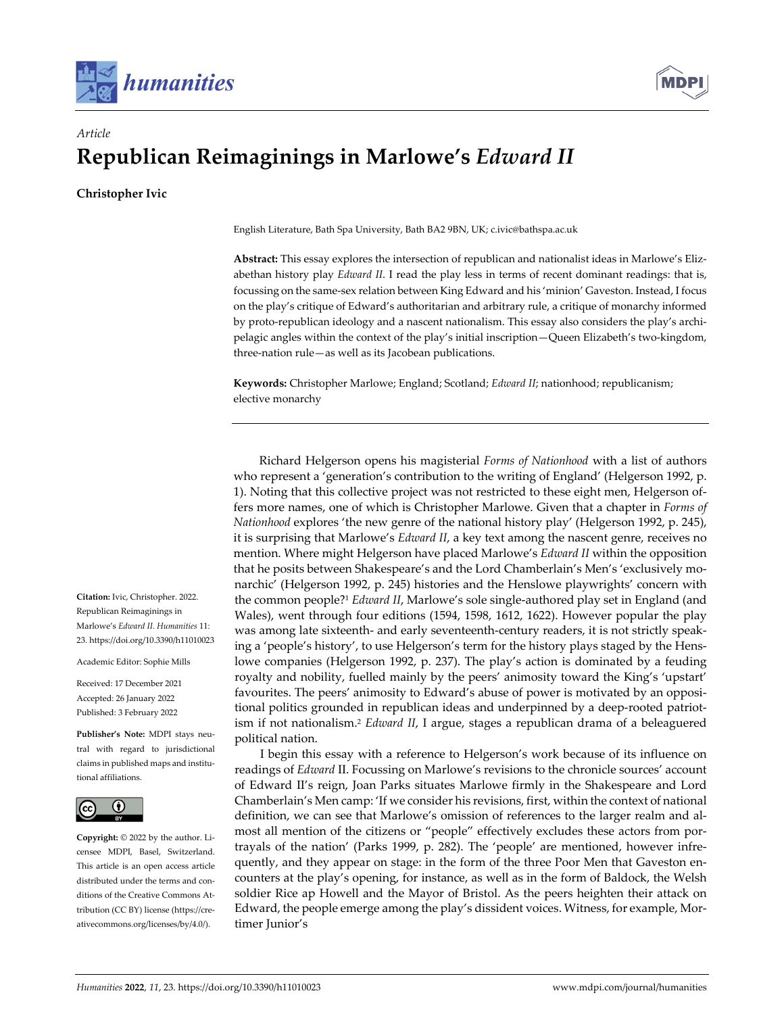



# *Article* **Republican Reimaginings in Marlowe's** *Edward II*

**Christopher Ivic**

English Literature, Bath Spa University, Bath BA2 9BN, UK; c.ivic@bathspa.ac.uk

**Abstract:** This essay explores the intersection of republican and nationalist ideas in Marlowe's Eliz‐ abethan history play *Edward II*. I read the play less in terms of recent dominant readings: that is, focussing on the same‐sex relation between King Edward and his 'minion' Gaveston. Instead, I focus on the play's critique of Edward's authoritarian and arbitrary rule, a critique of monarchy informed by proto-republican ideology and a nascent nationalism. This essay also considers the play's archipelagic angles within the context of the play's initial inscription—Queen Elizabeth's two‐kingdom, three‐nation rule—as well as its Jacobean publications.

**Keywords:** Christopher Marlowe; England; Scotland; *Edward II*; nationhood; republicanism; elective monarchy

Richard Helgerson opens his magisterial *Forms of Nationhood* with a list of authors who represent a 'generation's contribution to the writing of England' (Helgerson 1992, p. 1). Noting that this collective project was not restricted to these eight men, Helgerson of‐ fers more names, one of which is Christopher Marlowe. Given that a chapter in *Forms of Nationhood* explores 'the new genre of the national history play' (Helgerson 1992, p. 245), it is surprising that Marlowe's *Edward II*, a key text among the nascent genre, receives no mention. Where might Helgerson have placed Marlowe's *Edward II* within the opposition that he posits between Shakespeare's and the Lord Chamberlain's Men's 'exclusively mo‐ narchic' (Helgerson 1992, p. 245) histories and the Henslowe playwrights' concern with the common people?1 *Edward II*, Marlowe's sole single‐authored play set in England (and Wales), went through four editions (1594, 1598, 1612, 1622). However popular the play was among late sixteenth‐ and early seventeenth‐century readers, it is not strictly speak‐ ing a 'people's history', to use Helgerson's term for the history plays staged by the Henslowe companies (Helgerson 1992, p. 237). The play's action is dominated by a feuding royalty and nobility, fuelled mainly by the peers' animosity toward the King's 'upstart' favourites. The peers' animosity to Edward's abuse of power is motivated by an oppositional politics grounded in republican ideas and underpinned by a deep-rooted patriotism if not nationalism.2 *Edward II*, I argue, stages a republican drama of a beleaguered political nation.

I begin this essay with a reference to Helgerson's work because of its influence on readings of *Edward* II. Focussing on Marlowe's revisions to the chronicle sources' account of Edward II's reign, Joan Parks situates Marlowe firmly in the Shakespeare and Lord Chamberlain's Men camp: 'If we consider his revisions, first, within the context of national definition, we can see that Marlowe's omission of references to the larger realm and almost all mention of the citizens or "people" effectively excludes these actors from portrayals of the nation' (Parks 1999, p. 282). The 'people' are mentioned, however infre‐ quently, and they appear on stage: in the form of the three Poor Men that Gaveston encounters at the play's opening, for instance, as well as in the form of Baldock, the Welsh soldier Rice ap Howell and the Mayor of Bristol. As the peers heighten their attack on Edward, the people emerge among the play's dissident voices. Witness, for example, Mor‐ timer Junior's

**Citation:** Ivic, Christopher. 2022. Republican Reimaginings in Marlowe's *Edward II. Humanities* 11: 23. https://doi.org/10.3390/h11010023

Academic Editor: Sophie Mills

Received: 17 December 2021 Accepted: 26 January 2022 Published: 3 February 2022

**Publisher's Note:** MDPI stays neu‐ tral with regard to jurisdictional claims in published maps and institu‐ tional affiliations.



**Copyright:** © 2022 by the author. Li‐ censee MDPI, Basel, Switzerland. This article is an open access article distributed under the terms and conditions of the Creative Commons At‐ tribution (CC BY) license (https://cre‐ ativecommons.org/licenses/by/4.0/).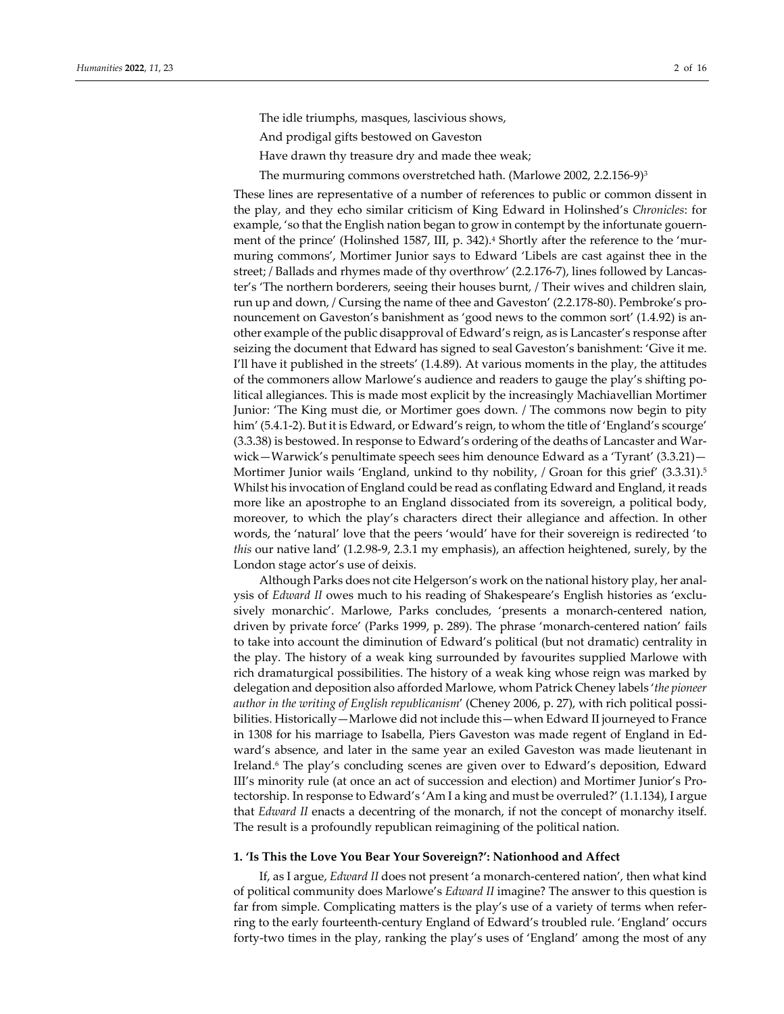The idle triumphs, masques, lascivious shows,

- And prodigal gifts bestowed on Gaveston
- Have drawn thy treasure dry and made thee weak;
- The murmuring commons overstretched hath. (Marlowe 2002, 2.2.156‐9)3

These lines are representative of a number of references to public or common dissent in the play, and they echo similar criticism of King Edward in Holinshed's *Chronicles*: for example, 'so that the English nation began to grow in contempt by the infortunate gouernment of the prince' (Holinshed 1587, III, p. 342).<sup>4</sup> Shortly after the reference to the 'murmuring commons', Mortimer Junior says to Edward 'Libels are cast against thee in the street; / Ballads and rhymes made of thy overthrow' (2.2.176-7), lines followed by Lancaster's 'The northern borderers, seeing their houses burnt, / Their wives and children slain, run up and down, / Cursing the name of thee and Gaveston' (2.2.178‐80). Pembroke's pro‐ nouncement on Gaveston's banishment as 'good news to the common sort' (1.4.92) is another example of the public disapproval of Edward's reign, as is Lancaster's response after seizing the document that Edward has signed to seal Gaveston's banishment: 'Give it me. I'll have it published in the streets' (1.4.89). At various moments in the play, the attitudes of the commoners allow Marlowe's audience and readers to gauge the play's shifting po‐ litical allegiances. This is made most explicit by the increasingly Machiavellian Mortimer Junior: 'The King must die, or Mortimer goes down. / The commons now begin to pity him' (5.4.1‐2). But it is Edward, or Edward's reign, to whom the title of 'England's scourge' (3.3.38) is bestowed. In response to Edward's ordering of the deaths of Lancaster and War‐ wick—Warwick's penultimate speech sees him denounce Edward as a 'Tyrant' (3.3.21)— Mortimer Junior wails 'England, unkind to thy nobility, / Groan for this grief' (3.3.31).<sup>5</sup> Whilst his invocation of England could be read as conflating Edward and England, itreads more like an apostrophe to an England dissociated from its sovereign, a political body, moreover, to which the play's characters direct their allegiance and affection. In other words, the 'natural' love that the peers 'would' have for their sovereign is redirected 'to *this* our native land' (1.2.98‐9, 2.3.1 my emphasis), an affection heightened, surely, by the London stage actor's use of deixis.

Although Parks does not cite Helgerson's work on the national history play, her anal‐ ysis of *Edward II* owes much to his reading of Shakespeare's English histories as 'exclusively monarchic'. Marlowe, Parks concludes, 'presents a monarch-centered nation, driven by private force' (Parks 1999, p. 289). The phrase 'monarch‐centered nation' fails to take into account the diminution of Edward's political (but not dramatic) centrality in the play. The history of a weak king surrounded by favourites supplied Marlowe with rich dramaturgical possibilities. The history of a weak king whose reign was marked by delegation and deposition also afforded Marlowe, whom Patrick Cheney labels '*the pioneer author in the writing of English republicanism*' (Cheney 2006, p. 27), with rich political possi‐ bilities. Historically—Marlowe did not include this—when Edward II journeyed to France in 1308 for his marriage to Isabella, Piers Gaveston was made regent of England in Ed‐ ward's absence, and later in the same year an exiled Gaveston was made lieutenant in Ireland.6 The play's concluding scenes are given over to Edward's deposition, Edward III's minority rule (at once an act of succession and election) and Mortimer Junior's Pro‐ tectorship. In response to Edward's 'Am I a king and must be overruled?' (1.1.134), I argue that *Edward II* enacts a decentring of the monarch, if not the concept of monarchy itself. The result is a profoundly republican reimagining of the political nation.

#### **1. 'Is This the Love You Bear Your Sovereign?': Nationhood and Affect**

If, as I argue, *Edward II* does not present 'a monarch-centered nation', then what kind of political community does Marlowe's *Edward II* imagine? The answer to this question is far from simple. Complicating matters is the play's use of a variety of terms when referring to the early fourteenth‐century England of Edward's troubled rule. 'England' occurs forty-two times in the play, ranking the play's uses of 'England' among the most of any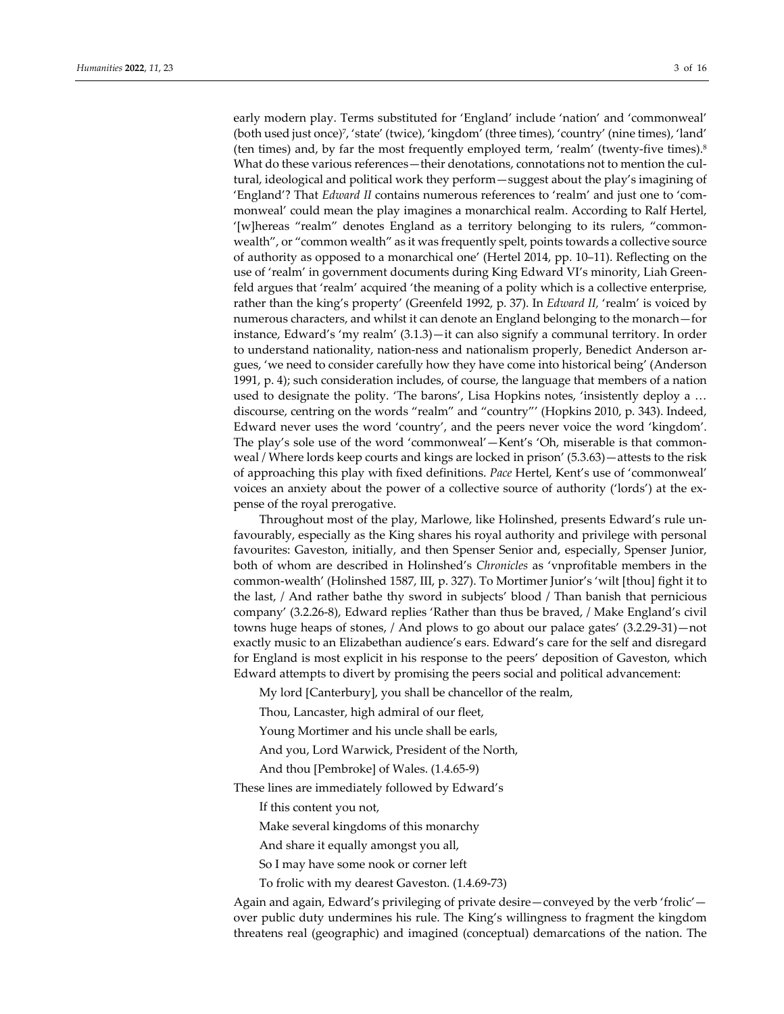early modern play. Terms substituted for 'England' include 'nation' and 'commonweal' (both used just once)7, 'state' (twice), 'kingdom' (three times), 'country' (nine times), 'land' (ten times) and, by far the most frequently employed term, 'realm' (twenty‐five times).8 What do these various references—their denotations, connotations not to mention the cultural, ideological and political work they perform—suggest about the play's imagining of 'England'? That *Edward II* contains numerous references to 'realm' and just one to 'commonweal' could mean the play imagines a monarchical realm. According to Ralf Hertel, '[w]hereas "realm" denotes England as a territory belonging to its rulers, "common‐ wealth", or "common wealth" as it was frequently spelt, points towards a collective source of authority as opposed to a monarchical one' (Hertel 2014, pp. 10–11). Reflecting on the use of 'realm' in government documents during King Edward VI's minority, Liah Greenfeld argues that 'realm' acquired 'the meaning of a polity which is a collective enterprise, rather than the king's property' (Greenfeld 1992, p. 37). In *Edward II,* 'realm' is voiced by numerous characters, and whilst it can denote an England belonging to the monarch—for instance, Edward's 'my realm' (3.1.3)—it can also signify a communal territory. In order to understand nationality, nation-ness and nationalism properly, Benedict Anderson argues, 'we need to consider carefully how they have come into historical being' (Anderson 1991, p. 4); such consideration includes, of course, the language that members of a nation used to designate the polity. 'The barons', Lisa Hopkins notes, 'insistently deploy a … discourse, centring on the words "realm" and "country"' (Hopkins 2010, p. 343). Indeed, Edward never uses the word 'country', and the peers never voice the word 'kingdom'. The play's sole use of the word 'commonweal'—Kent's 'Oh, miserable is that common‐ weal / Where lords keep courts and kings are locked in prison' (5.3.63)—attests to the risk of approaching this play with fixed definitions. *Pace* Hertel, Kent's use of 'commonweal' voices an anxiety about the power of a collective source of authority ('lords') at the ex‐ pense of the royal prerogative.

Throughout most of the play, Marlowe, like Holinshed, presents Edward's rule un‐ favourably, especially as the King shares his royal authority and privilege with personal favourites: Gaveston, initially, and then Spenser Senior and, especially, Spenser Junior, both of whom are described in Holinshed's *Chronicles* as 'vnprofitable members in the common‐wealth' (Holinshed 1587, III, p. 327). To Mortimer Junior's 'wilt [thou] fight it to the last, / And rather bathe thy sword in subjects' blood / Than banish that pernicious company' (3.2.26‐8), Edward replies 'Rather than thus be braved, / Make England's civil towns huge heaps of stones, / And plows to go about our palace gates' (3.2.29‐31)—not exactly music to an Elizabethan audience's ears. Edward's care for the self and disregard for England is most explicit in his response to the peers' deposition of Gaveston, which Edward attempts to divert by promising the peers social and political advancement:

My lord [Canterbury], you shall be chancellor of the realm,

Thou, Lancaster, high admiral of our fleet,

Young Mortimer and his uncle shall be earls,

And you, Lord Warwick, President of the North,

And thou [Pembroke] of Wales. (1.4.65‐9)

These lines are immediately followed by Edward's

If this content you not,

Make several kingdoms of this monarchy

And share it equally amongst you all,

So I may have some nook or corner left

To frolic with my dearest Gaveston. (1.4.69‐73)

Again and again, Edward's privileging of private desire—conveyed by the verb 'frolic' over public duty undermines his rule. The King's willingness to fragment the kingdom threatens real (geographic) and imagined (conceptual) demarcations of the nation. The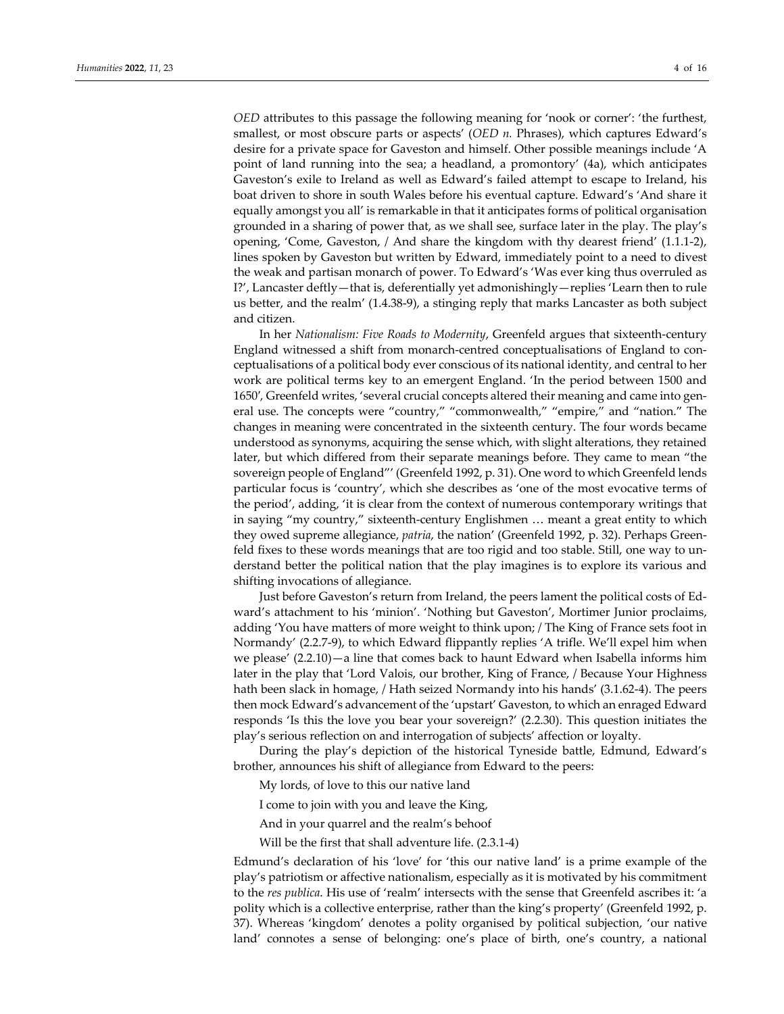*OED* attributes to this passage the following meaning for 'nook or corner': 'the furthest, smallest, or most obscure parts or aspects' (*OED n.* Phrases), which captures Edward's desire for a private space for Gaveston and himself. Other possible meanings include 'A point of land running into the sea; a headland, a promontory' (4a), which anticipates Gaveston's exile to Ireland as well as Edward's failed attempt to escape to Ireland, his boat driven to shore in south Wales before his eventual capture. Edward's 'And share it equally amongst you all' is remarkable in that it anticipates forms of political organisation grounded in a sharing of power that, as we shall see, surface later in the play. The play's opening, 'Come, Gaveston, / And share the kingdom with thy dearest friend' (1.1.1‐2), lines spoken by Gaveston but written by Edward, immediately point to a need to divest the weak and partisan monarch of power. To Edward's 'Was ever king thus overruled as I?', Lancaster deftly—that is, deferentially yet admonishingly—replies 'Learn then to rule us better, and the realm' (1.4.38‐9), a stinging reply that marks Lancaster as both subject and citizen.

In her *Nationalism: Five Roads to Modernity*, Greenfeld argues that sixteenth‐century England witnessed a shift from monarch-centred conceptualisations of England to conceptualisations of a political body ever conscious of its national identity, and central to her work are political terms key to an emergent England. 'In the period between 1500 and 1650′, Greenfeld writes, 'several crucial concepts altered their meaning and came into gen‐ eral use. The concepts were "country," "commonwealth," "empire," and "nation." The changes in meaning were concentrated in the sixteenth century. The four words became understood as synonyms, acquiring the sense which, with slight alterations, they retained later, but which differed from their separate meanings before. They came to mean "the sovereign people of England"' (Greenfeld 1992, p. 31). One word to which Greenfeld lends particular focus is 'country', which she describes as 'one of the most evocative terms of the period', adding, 'it is clear from the context of numerous contemporary writings that in saying "my country," sixteenth-century Englishmen ... meant a great entity to which they owed supreme allegiance, *patria*, the nation' (Greenfeld 1992, p. 32). Perhaps Greenfeld fixes to these words meanings that are too rigid and too stable. Still, one way to understand better the political nation that the play imagines is to explore its various and shifting invocations of allegiance.

Just before Gaveston's return from Ireland, the peers lament the political costs of Ed‐ ward's attachment to his 'minion'. 'Nothing but Gaveston', Mortimer Junior proclaims, adding 'You have matters of more weight to think upon; / The King of France sets foot in Normandy' (2.2.7‐9), to which Edward flippantly replies 'A trifle. We'll expel him when we please' (2.2.10)—a line that comes back to haunt Edward when Isabella informs him later in the play that 'Lord Valois, our brother, King of France, / Because Your Highness hath been slack in homage, / Hath seized Normandy into his hands' (3.1.62-4). The peers then mock Edward's advancement of the 'upstart' Gaveston, to which an enraged Edward responds 'Is this the love you bear your sovereign?' (2.2.30). This question initiates the play's serious reflection on and interrogation of subjects' affection or loyalty.

During the play's depiction of the historical Tyneside battle, Edmund, Edward's brother, announces his shift of allegiance from Edward to the peers:

My lords, of love to this our native land

- I come to join with you and leave the King,
- And in your quarrel and the realm's behoof
- Will be the first that shall adventure life. (2.3.1‐4)

Edmund's declaration of his 'love' for 'this our native land' is a prime example of the play's patriotism or affective nationalism, especially as it is motivated by his commitment to the *res publica*. His use of 'realm' intersects with the sense that Greenfeld ascribes it: 'a polity which is a collective enterprise, rather than the king's property' (Greenfeld 1992, p. 37). Whereas 'kingdom' denotes a polity organised by political subjection, 'our native land' connotes a sense of belonging: one's place of birth, one's country, a national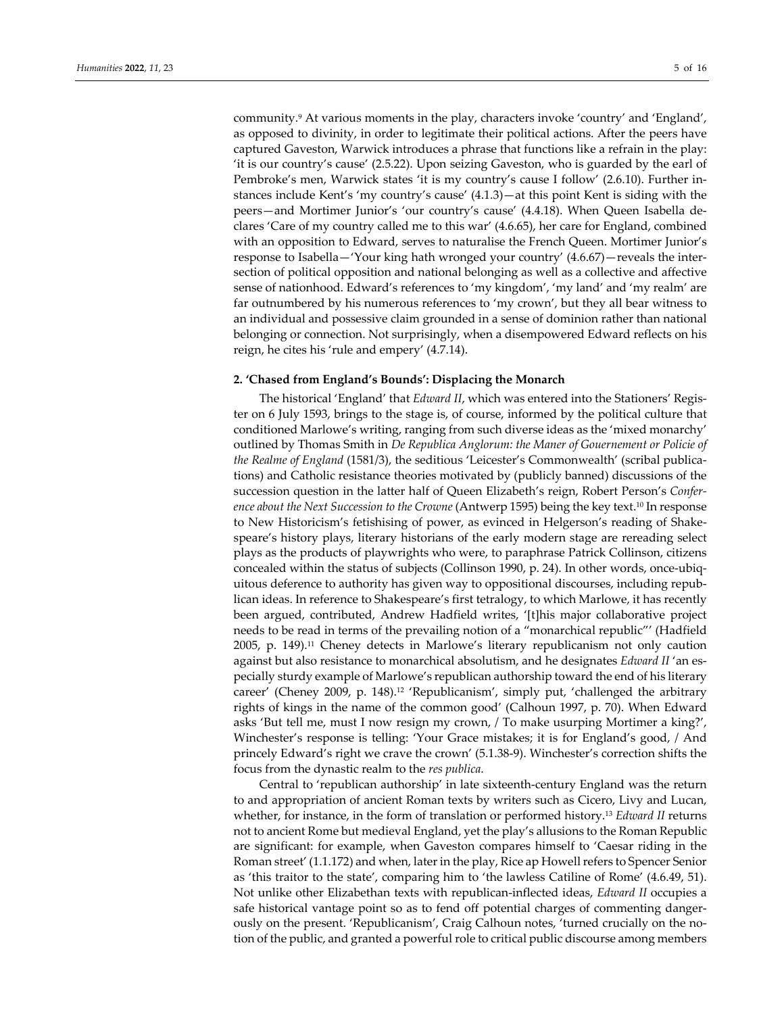community.9 At various moments in the play, characters invoke 'country' and 'England', as opposed to divinity, in order to legitimate their political actions. After the peers have captured Gaveston, Warwick introduces a phrase that functions like a refrain in the play: 'it is our country's cause' (2.5.22). Upon seizing Gaveston, who is guarded by the earl of Pembroke's men, Warwick states 'it is my country's cause I follow' (2.6.10). Further in‐ stances include Kent's 'my country's cause' (4.1.3)—at this point Kent is siding with the peers—and Mortimer Junior's 'our country's cause' (4.4.18). When Queen Isabella de‐ clares 'Care of my country called me to this war' (4.6.65), her care for England, combined with an opposition to Edward, serves to naturalise the French Queen. Mortimer Junior's response to Isabella—'Your king hath wronged your country' (4.6.67)—reveals the inter‐ section of political opposition and national belonging as well as a collective and affective sense of nationhood. Edward's references to 'my kingdom', 'my land' and 'my realm' are far outnumbered by his numerous references to 'my crown', but they all bear witness to an individual and possessive claim grounded in a sense of dominion rather than national belonging or connection. Not surprisingly, when a disempowered Edward reflects on his reign, he cites his 'rule and empery' (4.7.14).

# **2. 'Chased from England's Bounds': Displacing the Monarch**

The historical 'England' that *Edward II*, which was entered into the Stationers' Regis‐ ter on 6 July 1593, brings to the stage is, of course, informed by the political culture that conditioned Marlowe's writing, ranging from such diverse ideas as the 'mixed monarchy' outlined by Thomas Smith in *De Republica Anglorum: the Maner of Gouernement or Policie of the Realme of England* (1581/3), the seditious 'Leicester's Commonwealth' (scribal publica‐ tions) and Catholic resistance theories motivated by (publicly banned) discussions of the succession question in the latter half of Queen Elizabeth's reign, Robert Person's *Confer‐ ence about the Next Succession to the Crowne* (Antwerp 1595) being the key text.10 In response to New Historicism's fetishising of power, as evinced in Helgerson's reading of Shake‐ speare's history plays, literary historians of the early modern stage are rereading select plays as the products of playwrights who were, to paraphrase Patrick Collinson, citizens concealed within the status of subjects (Collinson 1990, p. 24). In other words, once-ubiquitous deference to authority has given way to oppositional discourses, including repub‐ lican ideas. In reference to Shakespeare's first tetralogy, to which Marlowe, it has recently been argued, contributed, Andrew Hadfield writes, '[t]his major collaborative project needs to be read in terms of the prevailing notion of a "monarchical republic"' (Hadfield 2005, p. 149).11 Cheney detects in Marlowe's literary republicanism not only caution against but also resistance to monarchical absolutism, and he designates *Edward II* 'an es‐ pecially sturdy example of Marlowe's republican authorship toward the end of his literary career' (Cheney 2009, p. 148).12 'Republicanism', simply put, 'challenged the arbitrary rights of kings in the name of the common good' (Calhoun 1997, p. 70). When Edward asks 'But tell me, must I now resign my crown, / To make usurping Mortimer a king?', Winchester's response is telling: 'Your Grace mistakes; it is for England's good, / And princely Edward's right we crave the crown' (5.1.38‐9). Winchester's correction shifts the focus from the dynastic realm to the *res publica*.

Central to 'republican authorship' in late sixteenth‐century England was the return to and appropriation of ancient Roman texts by writers such as Cicero, Livy and Lucan, whether, for instance, in the form of translation or performed history.13 *Edward II* returns not to ancient Rome but medieval England, yet the play's allusions to the Roman Republic are significant: for example, when Gaveston compares himself to 'Caesar riding in the Roman street' (1.1.172) and when, laterin the play, Rice ap Howellrefers to Spencer Senior as 'this traitor to the state', comparing him to 'the lawless Catiline of Rome' (4.6.49, 51). Not unlike other Elizabethan texts with republican‐inflected ideas, *Edward II* occupies a safe historical vantage point so as to fend off potential charges of commenting dangerously on the present. 'Republicanism', Craig Calhoun notes, 'turned crucially on the no‐ tion of the public, and granted a powerful role to critical public discourse among members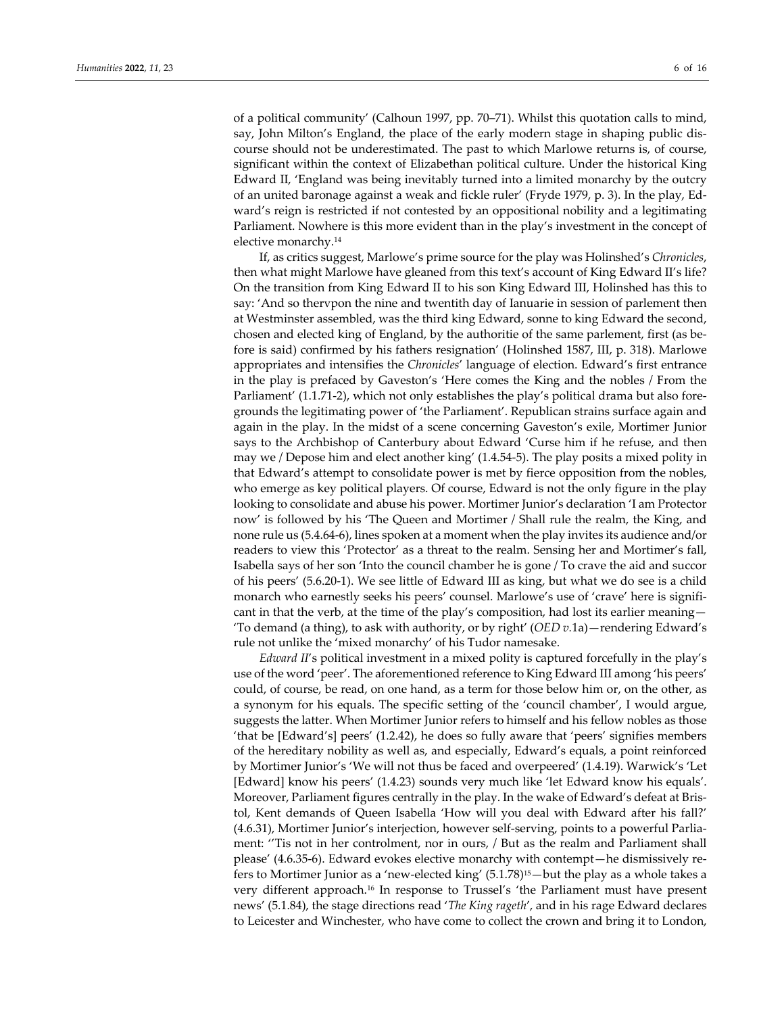of a political community' (Calhoun 1997, pp. 70–71). Whilst this quotation calls to mind, say, John Milton's England, the place of the early modern stage in shaping public dis‐ course should not be underestimated. The past to which Marlowe returns is, of course, significant within the context of Elizabethan political culture. Under the historical King Edward II, 'England was being inevitably turned into a limited monarchy by the outcry of an united baronage against a weak and fickle ruler' (Fryde 1979, p. 3). In the play, Ed‐ ward's reign is restricted if not contested by an oppositional nobility and a legitimating Parliament. Nowhere is this more evident than in the play's investment in the concept of elective monarchy.14

If, as critics suggest, Marlowe's prime source for the play was Holinshed's *Chronicles*, then what might Marlowe have gleaned from this text's account of King Edward II's life? On the transition from King Edward II to his son King Edward III, Holinshed has this to say: 'And so thervpon the nine and twentith day of Ianuarie in session of parlement then at Westminster assembled, was the third king Edward, sonne to king Edward the second, chosen and elected king of England, by the authoritie of the same parlement, first (as be‐ fore is said) confirmed by his fathers resignation' (Holinshed 1587, III, p. 318). Marlowe appropriates and intensifies the *Chronicles*' language of election. Edward's first entrance in the play is prefaced by Gaveston's 'Here comes the King and the nobles / From the Parliament' (1.1.71-2), which not only establishes the play's political drama but also foregrounds the legitimating power of 'the Parliament'. Republican strains surface again and again in the play. In the midst of a scene concerning Gaveston's exile, Mortimer Junior says to the Archbishop of Canterbury about Edward 'Curse him if he refuse, and then may we / Depose him and elect another king' (1.4.54‐5). The play posits a mixed polity in that Edward's attempt to consolidate power is met by fierce opposition from the nobles, who emerge as key political players. Of course, Edward is not the only figure in the play looking to consolidate and abuse his power. Mortimer Junior's declaration 'I am Protector now' is followed by his 'The Queen and Mortimer / Shall rule the realm, the King, and none rule us (5.4.64‐6), lines spoken at a moment when the play invites its audience and/or readers to view this 'Protector' as a threat to the realm. Sensing her and Mortimer's fall, Isabella says of her son 'Into the council chamber he is gone / To crave the aid and succor of his peers' (5.6.20‐1). We see little of Edward III as king, but what we do see is a child monarch who earnestly seeks his peers' counsel. Marlowe's use of 'crave' here is significant in that the verb, at the time of the play's composition, had lost its earlier meaning— 'To demand (a thing), to ask with authority, or by right' (*OED v.*1a)—rendering Edward's rule not unlike the 'mixed monarchy' of his Tudor namesake.

*Edward II*'s political investment in a mixed polity is captured forcefully in the play's use of the word 'peer'. The aforementioned reference to King Edward III among 'his peers' could, of course, be read, on one hand, as a term for those below him or, on the other, as a synonym for his equals. The specific setting of the 'council chamber', I would argue, suggests the latter. When Mortimer Junior refers to himself and his fellow nobles as those 'that be [Edward's] peers' (1.2.42), he does so fully aware that 'peers' signifies members of the hereditary nobility as well as, and especially, Edward's equals, a point reinforced by Mortimer Junior's 'We will not thus be faced and overpeered' (1.4.19). Warwick's 'Let [Edward] know his peers' (1.4.23) sounds very much like 'let Edward know his equals'. Moreover, Parliament figures centrally in the play. In the wake of Edward's defeat at Bris‐ tol, Kent demands of Queen Isabella 'How will you deal with Edward after his fall?' (4.6.31), Mortimer Junior's interjection, however self‐serving, points to a powerful Parlia‐ ment: ''Tis not in her controlment, nor in ours, / But as the realm and Parliament shall please' (4.6.35-6). Edward evokes elective monarchy with contempt—he dismissively refers to Mortimer Junior as a 'new‐elected king' (5.1.78)15—but the play as a whole takes a very different approach.16 In response to Trussel's 'the Parliament must have present news' (5.1.84), the stage directions read '*The King rageth*', and in his rage Edward declares to Leicester and Winchester, who have come to collect the crown and bring it to London,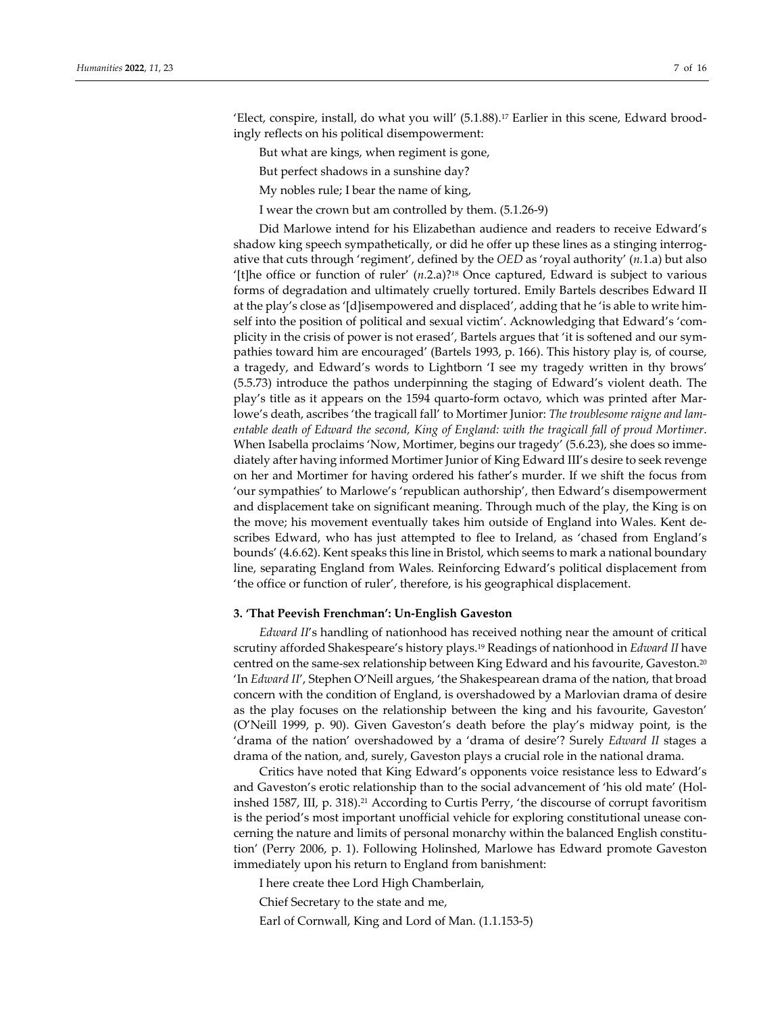'Elect, conspire, install, do what you will' (5.1.88).17 Earlier in this scene, Edward brood‐ ingly reflects on his political disempowerment:

But what are kings, when regiment is gone,

But perfect shadows in a sunshine day?

My nobles rule; I bear the name of king,

I wear the crown but am controlled by them. (5.1.26‐9)

Did Marlowe intend for his Elizabethan audience and readers to receive Edward's shadow king speech sympathetically, or did he offer up these lines as a stinging interrog‐ ative that cuts through 'regiment', defined by the *OED* as 'royal authority' (*n.*1.a) but also '[t]he office or function of ruler' (*n.*2.a)?18 Once captured, Edward is subject to various forms of degradation and ultimately cruelly tortured. Emily Bartels describes Edward II at the play's close as '[d]isempowered and displaced', adding that he 'is able to write him‐ self into the position of political and sexual victim'. Acknowledging that Edward's 'complicity in the crisis of power is not erased', Bartels argues that 'it is softened and our sym‐ pathies toward him are encouraged' (Bartels 1993, p. 166). This history play is, of course, a tragedy, and Edward's words to Lightborn 'I see my tragedy written in thy brows' (5.5.73) introduce the pathos underpinning the staging of Edward's violent death. The play's title as it appears on the 1594 quarto‐form octavo, which was printed after Mar‐ lowe's death, ascribes 'the tragicall fall' to Mortimer Junior: *The troublesome raigne and lam‐ entable death of Edward the second, King of England: with the tragicall fall of proud Mortimer*. When Isabella proclaims 'Now, Mortimer, begins our tragedy' (5.6.23), she does so immediately after having informed Mortimer Junior of King Edward III's desire to seek revenge on her and Mortimer for having ordered his father's murder. If we shift the focus from 'our sympathies' to Marlowe's 'republican authorship', then Edward's disempowerment and displacement take on significant meaning. Through much of the play, the King is on the move; his movement eventually takes him outside of England into Wales. Kent de‐ scribes Edward, who has just attempted to flee to Ireland, as 'chased from England's bounds' (4.6.62). Kent speaks this line in Bristol, which seems to mark a national boundary line, separating England from Wales. Reinforcing Edward's political displacement from 'the office or function of ruler', therefore, is his geographical displacement.

#### **3. 'That Peevish Frenchman': Un‐English Gaveston**

*Edward II*'s handling of nationhood has received nothing near the amount of critical scrutiny afforded Shakespeare's history plays.19 Readings of nationhood in *Edward II* have centred on the same‐sex relationship between King Edward and his favourite, Gaveston.20 'In *Edward II*', Stephen O'Neill argues, 'the Shakespearean drama of the nation, that broad concern with the condition of England, is overshadowed by a Marlovian drama of desire as the play focuses on the relationship between the king and his favourite, Gaveston' (O'Neill 1999, p. 90). Given Gaveston's death before the play's midway point, is the 'drama of the nation' overshadowed by a 'drama of desire'? Surely *Edward II* stages a drama of the nation, and, surely, Gaveston plays a crucial role in the national drama.

Critics have noted that King Edward's opponents voice resistance less to Edward's and Gaveston's erotic relationship than to the social advancement of 'his old mate' (Hol‐ inshed 1587, III, p. 318).<sup>21</sup> According to Curtis Perry, 'the discourse of corrupt favoritism is the period's most important unofficial vehicle for exploring constitutional unease concerning the nature and limits of personal monarchy within the balanced English constitu‐ tion' (Perry 2006, p. 1). Following Holinshed, Marlowe has Edward promote Gaveston immediately upon his return to England from banishment:

I here create thee Lord High Chamberlain,

Chief Secretary to the state and me,

Earl of Cornwall, King and Lord of Man. (1.1.153‐5)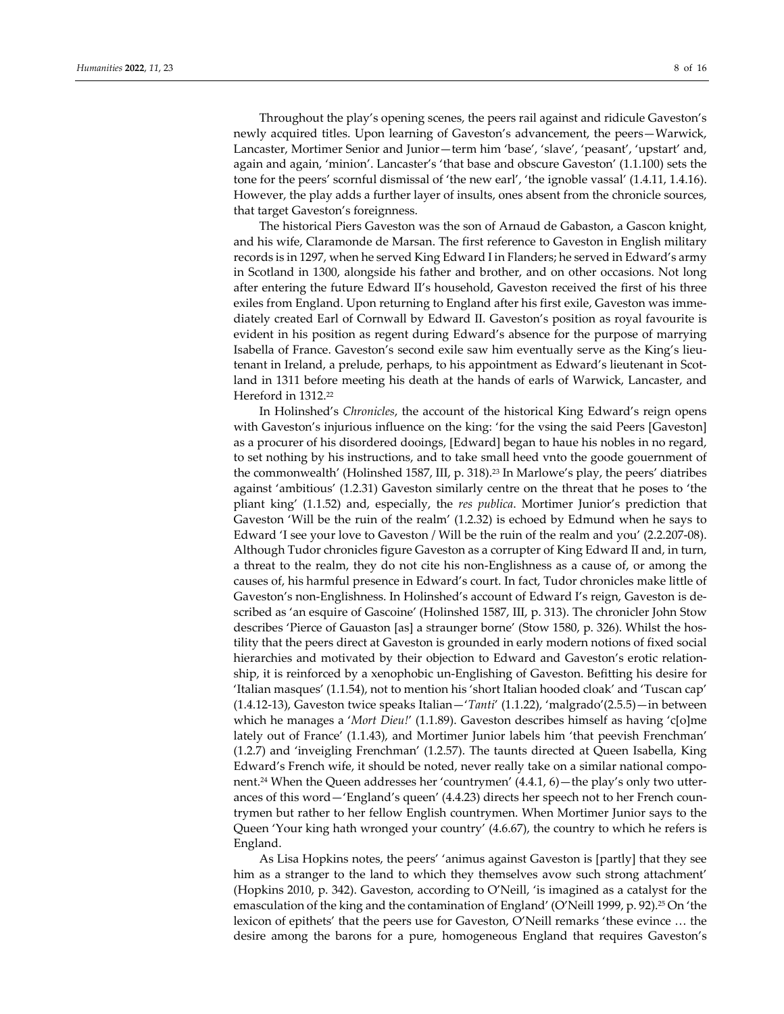Throughout the play's opening scenes, the peers rail against and ridicule Gaveston's newly acquired titles. Upon learning of Gaveston's advancement, the peers—Warwick, Lancaster, Mortimer Senior and Junior—term him 'base', 'slave', 'peasant', 'upstart' and, again and again, 'minion'. Lancaster's 'that base and obscure Gaveston' (1.1.100) sets the tone for the peers' scornful dismissal of 'the new earl', 'the ignoble vassal' (1.4.11, 1.4.16). However, the play adds a further layer of insults, ones absent from the chronicle sources, that target Gaveston's foreignness.

The historical Piers Gaveston was the son of Arnaud de Gabaston, a Gascon knight, and his wife, Claramonde de Marsan. The first reference to Gaveston in English military records is in 1297, when he served King Edward I in Flanders; he served in Edward's army in Scotland in 1300, alongside his father and brother, and on other occasions. Not long after entering the future Edward II's household, Gaveston received the first of his three exiles from England. Upon returning to England after his first exile, Gaveston was immediately created Earl of Cornwall by Edward II. Gaveston's position as royal favourite is evident in his position as regent during Edward's absence for the purpose of marrying Isabella of France. Gaveston's second exile saw him eventually serve as the King's lieutenant in Ireland, a prelude, perhaps, to his appointment as Edward's lieutenant in Scotland in 1311 before meeting his death at the hands of earls of Warwick, Lancaster, and Hereford in 1312.<sup>22</sup>

In Holinshed's *Chronicles*, the account of the historical King Edward's reign opens with Gaveston's injurious influence on the king: 'for the vsing the said Peers [Gaveston] as a procurer of his disordered dooings, [Edward] began to haue his nobles in no regard, to set nothing by his instructions, and to take small heed vnto the goode gouernment of the commonwealth' (Holinshed 1587, III, p. 318).23 In Marlowe's play, the peers' diatribes against 'ambitious' (1.2.31) Gaveston similarly centre on the threat that he poses to 'the pliant king' (1.1.52) and, especially, the *res publica*. Mortimer Junior's prediction that Gaveston 'Will be the ruin of the realm' (1.2.32) is echoed by Edmund when he says to Edward 'I see your love to Gaveston / Will be the ruin of the realm and you' (2.2.207‐08). Although Tudor chronicles figure Gaveston as a corrupter of King Edward II and, in turn, a threat to the realm, they do not cite his non‐Englishness as a cause of, or among the causes of, his harmful presence in Edward's court. In fact, Tudor chronicles make little of Gaveston's non‐Englishness. In Holinshed's account of Edward I's reign, Gaveston is de‐ scribed as 'an esquire of Gascoine' (Holinshed 1587, III, p. 313). The chronicler John Stow describes 'Pierce of Gauaston [as] a straunger borne' (Stow 1580, p. 326). Whilst the hos‐ tility that the peers direct at Gaveston is grounded in early modern notions of fixed social hierarchies and motivated by their objection to Edward and Gaveston's erotic relationship, it is reinforced by a xenophobic un‐Englishing of Gaveston. Befitting his desire for 'Italian masques' (1.1.54), not to mention his 'short Italian hooded cloak' and 'Tuscan cap' (1.4.12‐13), Gaveston twice speaks Italian—'*Tanti*' (1.1.22), 'malgrado'(2.5.5)—in between which he manages a '*Mort Dieu!*' (1.1.89). Gaveston describes himself as having 'c[o]me lately out of France' (1.1.43), and Mortimer Junior labels him 'that peevish Frenchman' (1.2.7) and 'inveigling Frenchman' (1.2.57). The taunts directed at Queen Isabella, King Edward's French wife, it should be noted, never really take on a similar national component.<sup>24</sup> When the Queen addresses her 'countrymen' (4.4.1, 6)—the play's only two utterances of this word—'England's queen' (4.4.23) directs her speech not to her French coun‐ trymen but rather to her fellow English countrymen. When Mortimer Junior says to the Queen 'Your king hath wronged your country' (4.6.67), the country to which he refers is England.

As Lisa Hopkins notes, the peers' 'animus against Gaveston is [partly] that they see him as a stranger to the land to which they themselves avow such strong attachment' (Hopkins 2010, p. 342). Gaveston, according to O'Neill, 'is imagined as a catalyst for the emasculation of the king and the contamination of England' (O'Neill 1999, p. 92).25 On 'the lexicon of epithets' that the peers use for Gaveston, O'Neill remarks 'these evince … the desire among the barons for a pure, homogeneous England that requires Gaveston's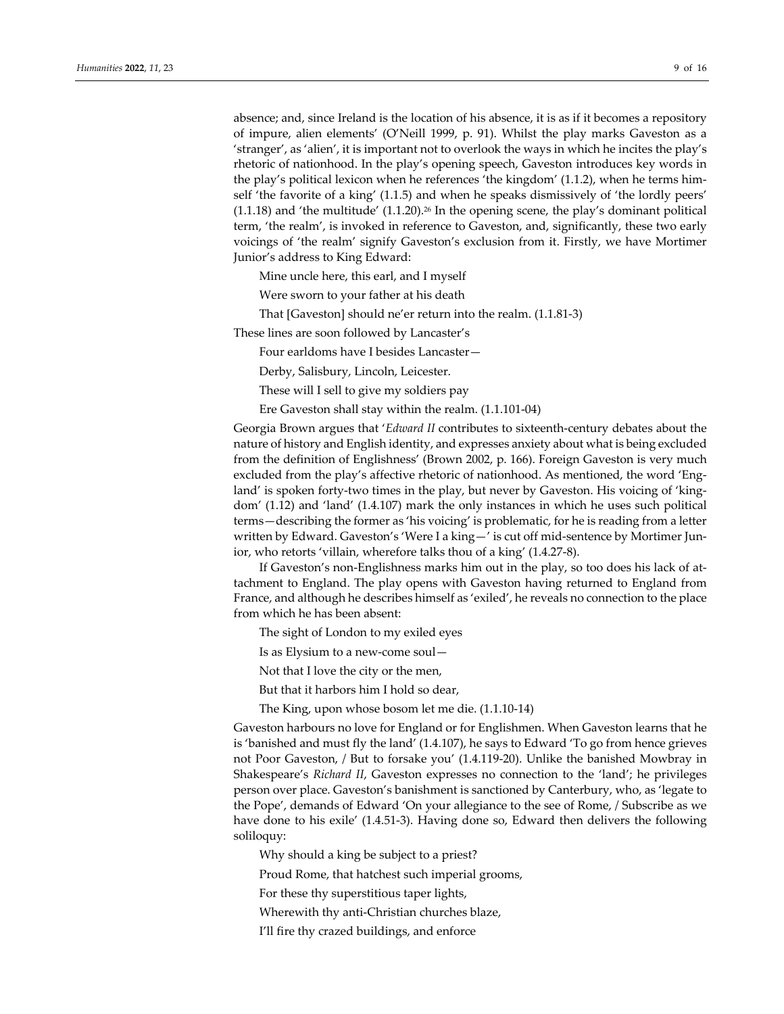absence; and, since Ireland is the location of his absence, it is as if it becomes a repository of impure, alien elements' (O'Neill 1999, p. 91). Whilst the play marks Gaveston as a 'stranger', as 'alien', it is important not to overlook the ways in which he incites the play's rhetoric of nationhood. In the play's opening speech, Gaveston introduces key words in the play's political lexicon when he references 'the kingdom' (1.1.2), when he terms him‐ self 'the favorite of a king' (1.1.5) and when he speaks dismissively of 'the lordly peers'  $(1.1.18)$  and 'the multitude'  $(1.1.20)$ .<sup>26</sup> In the opening scene, the play's dominant political term, 'the realm', is invoked in reference to Gaveston, and, significantly, these two early voicings of 'the realm' signify Gaveston's exclusion from it. Firstly, we have Mortimer Junior's address to King Edward:

Mine uncle here, this earl, and I myself

Were sworn to your father at his death

That [Gaveston] should ne'er return into the realm. (1.1.81‐3)

These lines are soon followed by Lancaster's

Four earldoms have I besides Lancaster—

Derby, Salisbury, Lincoln, Leicester.

These will I sell to give my soldiers pay

Ere Gaveston shall stay within the realm. (1.1.101‐04)

Georgia Brown argues that '*Edward II* contributes to sixteenth‐century debates about the nature of history and English identity, and expresses anxiety about what is being excluded from the definition of Englishness' (Brown 2002, p. 166). Foreign Gaveston is very much excluded from the play's affective rhetoric of nationhood. As mentioned, the word 'England' is spoken forty-two times in the play, but never by Gaveston. His voicing of 'kingdom' (1.12) and 'land' (1.4.107) mark the only instances in which he uses such political terms—describing the former as 'his voicing' is problematic, for he is reading from a letter written by Edward. Gaveston's 'Were I a king — ' is cut off mid-sentence by Mortimer Junior, who retorts 'villain, wherefore talks thou of a king' (1.4.27‐8).

If Gaveston's non‐Englishness marks him out in the play, so too does his lack of at‐ tachment to England. The play opens with Gaveston having returned to England from France, and although he describes himself as 'exiled', he reveals no connection to the place from which he has been absent:

The sight of London to my exiled eyes

Is as Elysium to a new‐come soul—

Not that I love the city or the men,

But that it harbors him I hold so dear,

The King, upon whose bosom let me die. (1.1.10‐14)

Gaveston harbours no love for England or for Englishmen. When Gaveston learns that he is 'banished and must fly the land' (1.4.107), he says to Edward 'To go from hence grieves not Poor Gaveston, / But to forsake you' (1.4.119‐20). Unlike the banished Mowbray in Shakespeare's *Richard II*, Gaveston expresses no connection to the 'land'; he privileges person over place. Gaveston's banishment is sanctioned by Canterbury, who, as 'legate to the Pope', demands of Edward 'On your allegiance to the see of Rome, / Subscribe as we have done to his exile' (1.4.51-3). Having done so, Edward then delivers the following soliloquy:

Why should a king be subject to a priest?

Proud Rome, that hatchest such imperial grooms,

For these thy superstitious taper lights,

Wherewith thy anti‐Christian churches blaze,

I'll fire thy crazed buildings, and enforce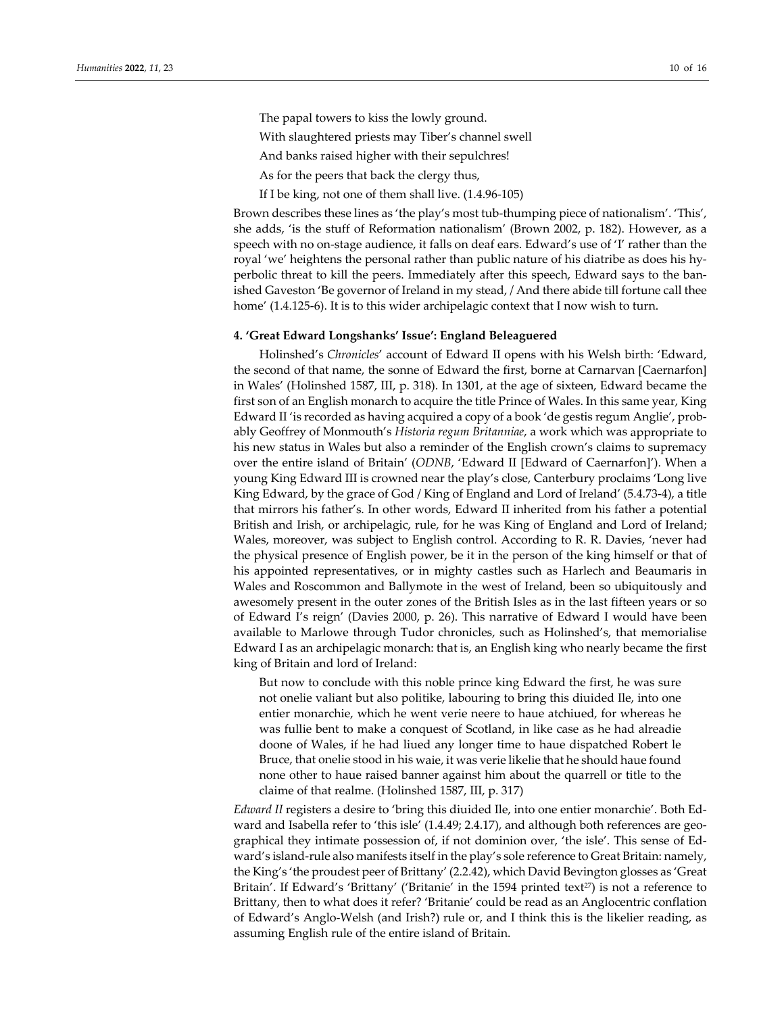The papal towers to kiss the lowly ground.

With slaughtered priests may Tiber's channel swell

And banks raised higher with their sepulchres!

As for the peers that back the clergy thus,

If I be king, not one of them shall live. (1.4.96‐105)

Brown describes these lines as 'the play's most tub-thumping piece of nationalism'. 'This', she adds, 'is the stuff of Reformation nationalism' (Brown 2002, p. 182). However, as a speech with no on-stage audience, it falls on deaf ears. Edward's use of 'I' rather than the royal 'we' heightens the personal rather than public nature of his diatribe as does his hy‐ perbolic threat to kill the peers. Immediately after this speech, Edward says to the banished Gaveston 'Be governor of Ireland in my stead, / And there abide till fortune call thee home' (1.4.125-6). It is to this wider archipelagic context that I now wish to turn.

## **4. 'Great Edward Longshanks' Issue': England Beleaguered**

Holinshed's *Chronicles*' account of Edward II opens with his Welsh birth: 'Edward, the second of that name, the sonne of Edward the first, borne at Carnarvan [Caernarfon] in Wales' (Holinshed 1587, III, p. 318). In 1301, at the age of sixteen, Edward became the first son of an English monarch to acquire the title Prince of Wales. In this same year, King Edward II 'is recorded as having acquired a copy of a book 'de gestis regum Anglie', probably Geoffrey of Monmouth's *Historia regum Britanniae*, a work which was appropriate to his new status in Wales but also a reminder of the English crown's claims to supremacy over the entire island of Britain' (*ODNB*, 'Edward II [Edward of Caernarfon]'). When a young King Edward III is crowned near the play's close, Canterbury proclaims 'Long live King Edward, by the grace of God / King of England and Lord of Ireland' (5.4.73‐4), a title that mirrors his father's. In other words, Edward II inherited from his father a potential British and Irish, or archipelagic, rule, for he was King of England and Lord of Ireland; Wales, moreover, was subject to English control. According to R. R. Davies, 'never had the physical presence of English power, be it in the person of the king himself or that of his appointed representatives, or in mighty castles such as Harlech and Beaumaris in Wales and Roscommon and Ballymote in the west of Ireland, been so ubiquitously and awesomely present in the outer zones of the British Isles as in the last fifteen years or so of Edward I's reign' (Davies 2000, p. 26). This narrative of Edward I would have been available to Marlowe through Tudor chronicles, such as Holinshed's, that memorialise Edward I as an archipelagic monarch: that is, an English king who nearly became the first king of Britain and lord of Ireland:

But now to conclude with this noble prince king Edward the first, he was sure not onelie valiant but also politike, labouring to bring this diuided Ile, into one entier monarchie, which he went verie neere to haue atchiued, for whereas he was fullie bent to make a conquest of Scotland, in like case as he had alreadie doone of Wales, if he had liued any longer time to haue dispatched Robert le Bruce, that onelie stood in his waie, it was verie likelie that he should haue found none other to haue raised banner against him about the quarrell or title to the claime of that realme. (Holinshed 1587, III, p. 317)

*Edward II* registers a desire to 'bring this diuided Ile, into one entier monarchie'. Both Ed‐ ward and Isabella refer to 'this isle' (1.4.49; 2.4.17), and although both references are geographical they intimate possession of, if not dominion over, 'the isle'. This sense of Ed‐ ward's island-rule also manifests itself in the play's sole reference to Great Britain: namely, the King's 'the proudest peer of Brittany' (2.2.42), which David Bevington glosses as 'Great Britain'. If Edward's 'Brittany' ('Britanie' in the  $1594$  printed text<sup>27</sup>) is not a reference to Brittany, then to what does it refer? 'Britanie' could be read as an Anglocentric conflation of Edward's Anglo‐Welsh (and Irish?) rule or, and I think this is the likelier reading, as assuming English rule of the entire island of Britain.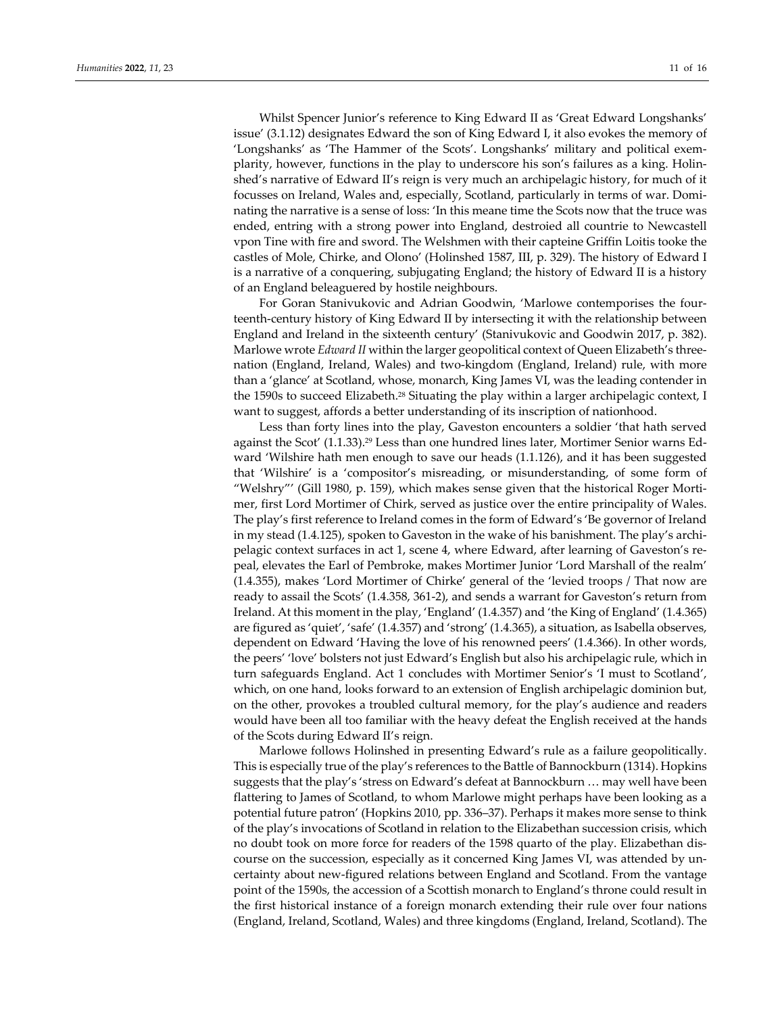Whilst Spencer Junior's reference to King Edward II as 'Great Edward Longshanks' issue' (3.1.12) designates Edward the son of King Edward I, it also evokes the memory of 'Longshanks' as 'The Hammer of the Scots'. Longshanks' military and political exem‐ plarity, however, functions in the play to underscore his son's failures as a king. Holin‐ shed's narrative of Edward II's reign is very much an archipelagic history, for much of it focusses on Ireland, Wales and, especially, Scotland, particularly in terms of war. Dominating the narrative is a sense of loss: 'In this meane time the Scots now that the truce was ended, entring with a strong power into England, destroied all countrie to Newcastell vpon Tine with fire and sword. The Welshmen with their capteine Griffin Loitis tooke the castles of Mole, Chirke, and Olono' (Holinshed 1587, III, p. 329). The history of Edward I is a narrative of a conquering, subjugating England; the history of Edward II is a history of an England beleaguered by hostile neighbours.

For Goran Stanivukovic and Adrian Goodwin, 'Marlowe contemporises the four‐ teenth‐century history of King Edward II by intersecting it with the relationship between England and Ireland in the sixteenth century' (Stanivukovic and Goodwin 2017, p. 382). Marlowe wrote *Edward II* within the larger geopolitical context of Queen Elizabeth's three‐ nation (England, Ireland, Wales) and two‐kingdom (England, Ireland) rule, with more than a 'glance' at Scotland, whose, monarch, King James VI, was the leading contender in the 1590s to succeed Elizabeth.<sup>28</sup> Situating the play within a larger archipelagic context, I want to suggest, affords a better understanding of its inscription of nationhood.

Less than forty lines into the play, Gaveston encounters a soldier 'that hath served against the Scot' (1.1.33).29 Less than one hundred lines later, Mortimer Senior warns Ed‐ ward 'Wilshire hath men enough to save our heads (1.1.126), and it has been suggested that 'Wilshire' is a 'compositor's misreading, or misunderstanding, of some form of "Welshry"' (Gill 1980, p. 159), which makes sense given that the historical Roger Morti‐ mer, first Lord Mortimer of Chirk, served as justice over the entire principality of Wales. The play's first reference to Ireland comes in the form of Edward's 'Be governor of Ireland in my stead (1.4.125), spoken to Gaveston in the wake of his banishment. The play's archi‐ pelagic context surfaces in act 1, scene 4, where Edward, after learning of Gaveston's re‐ peal, elevates the Earl of Pembroke, makes Mortimer Junior 'Lord Marshall of the realm' (1.4.355), makes 'Lord Mortimer of Chirke' general of the 'levied troops / That now are ready to assail the Scots' (1.4.358, 361-2), and sends a warrant for Gaveston's return from Ireland. At this moment in the play, 'England' (1.4.357) and 'the King of England' (1.4.365) are figured as 'quiet', 'safe' (1.4.357) and 'strong' (1.4.365), a situation, as Isabella observes, dependent on Edward 'Having the love of his renowned peers' (1.4.366). In other words, the peers' 'love' bolsters not just Edward's English but also his archipelagic rule, which in turn safeguards England. Act 1 concludes with Mortimer Senior's 'I must to Scotland', which, on one hand, looks forward to an extension of English archipelagic dominion but, on the other, provokes a troubled cultural memory, for the play's audience and readers would have been all too familiar with the heavy defeat the English received at the hands of the Scots during Edward II's reign.

Marlowe follows Holinshed in presenting Edward's rule as a failure geopolitically. This is especially true of the play's references to the Battle of Bannockburn (1314). Hopkins suggests that the play's 'stress on Edward's defeat at Bannockburn … may well have been flattering to James of Scotland, to whom Marlowe might perhaps have been looking as a potential future patron' (Hopkins 2010, pp. 336–37). Perhaps it makes more sense to think of the play's invocations of Scotland in relation to the Elizabethan succession crisis, which no doubt took on more force for readers of the 1598 quarto of the play. Elizabethan dis‐ course on the succession, especially as it concerned King James VI, was attended by uncertainty about new‐figured relations between England and Scotland. From the vantage point of the 1590s, the accession of a Scottish monarch to England's throne could result in the first historical instance of a foreign monarch extending their rule over four nations (England, Ireland, Scotland, Wales) and three kingdoms (England, Ireland, Scotland). The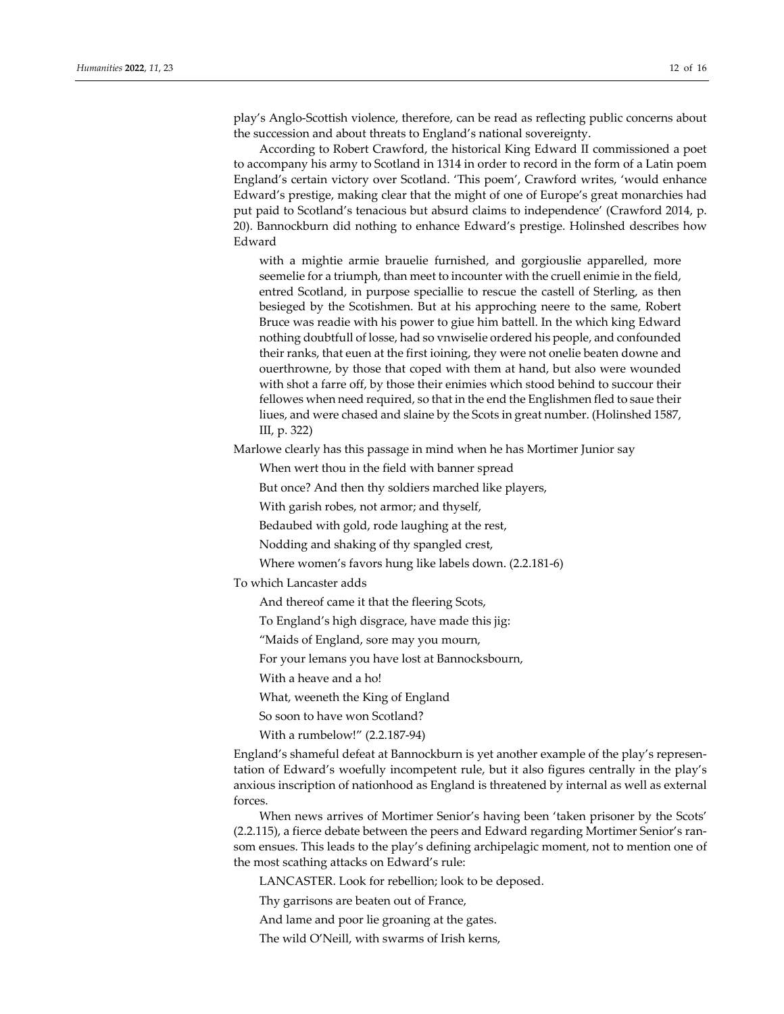play's Anglo‐Scottish violence, therefore, can be read as reflecting public concerns about the succession and about threats to England's national sovereignty.

According to Robert Crawford, the historical King Edward II commissioned a poet to accompany his army to Scotland in 1314 in order to record in the form of a Latin poem England's certain victory over Scotland. 'This poem', Crawford writes, 'would enhance Edward's prestige, making clear that the might of one of Europe's great monarchies had put paid to Scotland's tenacious but absurd claims to independence' (Crawford 2014, p. 20). Bannockburn did nothing to enhance Edward's prestige. Holinshed describes how Edward

with a mightie armie brauelie furnished, and gorgiouslie apparelled, more seemelie for a triumph, than meet to incounter with the cruell enimie in the field, entred Scotland, in purpose speciallie to rescue the castell of Sterling, as then besieged by the Scotishmen. But at his approching neere to the same, Robert Bruce was readie with his power to giue him battell. In the which king Edward nothing doubtfull of losse, had so vnwiselie ordered his people, and confounded their ranks, that euen at the first ioining, they were not onelie beaten downe and ouerthrowne, by those that coped with them at hand, but also were wounded with shot a farre off, by those their enimies which stood behind to succour their fellowes when need required, so that in the end the Englishmen fled to saue their liues, and were chased and slaine by the Scots in great number. (Holinshed 1587, III, p. 322)

Marlowe clearly has this passage in mind when he has Mortimer Junior say

When wert thou in the field with banner spread

But once? And then thy soldiers marched like players,

With garish robes, not armor; and thyself,

Bedaubed with gold, rode laughing at the rest,

Nodding and shaking of thy spangled crest,

Where women's favors hung like labels down. (2.2.181‐6)

To which Lancaster adds

And thereof came it that the fleering Scots,

To England's high disgrace, have made this jig:

"Maids of England, sore may you mourn,

For your lemans you have lost at Bannocksbourn,

With a heave and a ho!

What, weeneth the King of England

So soon to have won Scotland?

With a rumbelow!" (2.2.187‐94)

England's shameful defeat at Bannockburn is yet another example of the play's representation of Edward's woefully incompetent rule, but it also figures centrally in the play's anxious inscription of nationhood as England is threatened by internal as well as external forces.

When news arrives of Mortimer Senior's having been 'taken prisoner by the Scots' (2.2.115), a fierce debate between the peers and Edward regarding Mortimer Senior's ran‐ som ensues. This leads to the play's defining archipelagic moment, not to mention one of the most scathing attacks on Edward's rule:

LANCASTER. Look for rebellion; look to be deposed.

Thy garrisons are beaten out of France,

And lame and poor lie groaning at the gates.

The wild O'Neill, with swarms of Irish kerns,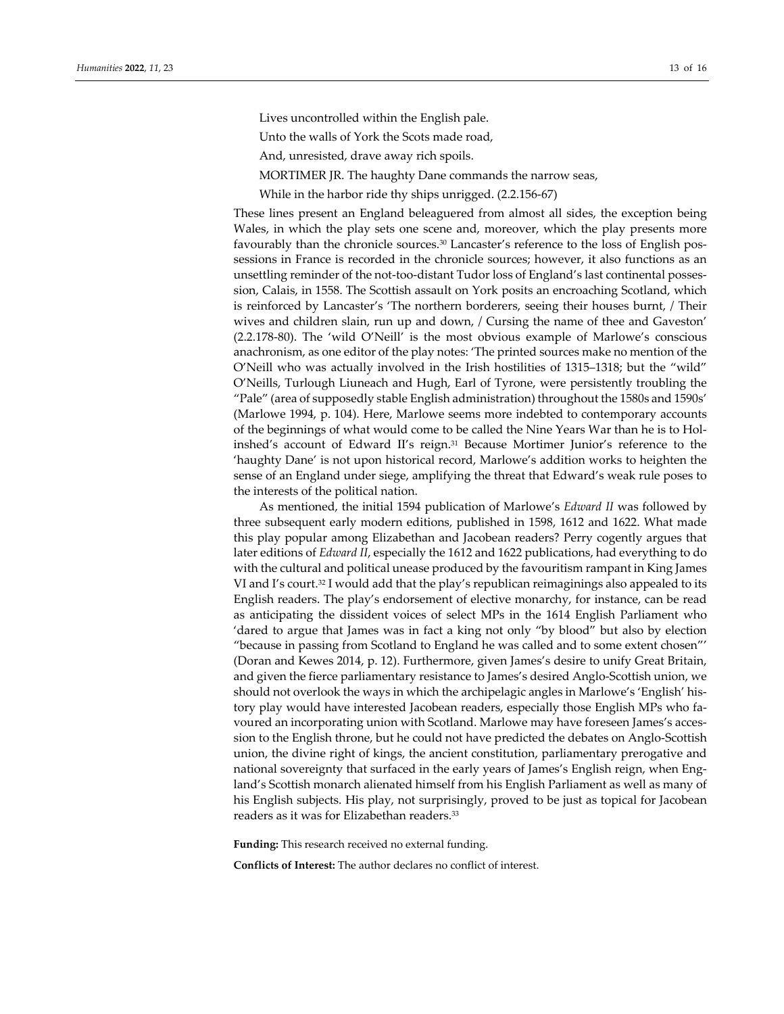Lives uncontrolled within the English pale.

Unto the walls of York the Scots made road,

And, unresisted, drave away rich spoils.

MORTIMER JR. The haughty Dane commands the narrow seas,

While in the harbor ride thy ships unrigged. (2.2.156‐67)

These lines present an England beleaguered from almost all sides, the exception being Wales, in which the play sets one scene and, moreover, which the play presents more favourably than the chronicle sources.<sup>30</sup> Lancaster's reference to the loss of English possessions in France is recorded in the chronicle sources; however, it also functions as an unsettling reminder of the not-too-distant Tudor loss of England's last continental possession, Calais, in 1558. The Scottish assault on York posits an encroaching Scotland, which is reinforced by Lancaster's 'The northern borderers, seeing their houses burnt, / Their wives and children slain, run up and down, / Cursing the name of thee and Gaveston' (2.2.178‐80). The 'wild O'Neill' is the most obvious example of Marlowe's conscious anachronism, as one editor of the play notes: 'The printed sources make no mention of the O'Neill who was actually involved in the Irish hostilities of 1315–1318; but the "wild" O'Neills, Turlough Liuneach and Hugh, Earl of Tyrone, were persistently troubling the "Pale" (area of supposedly stable English administration) throughout the 1580s and 1590s' (Marlowe 1994, p. 104). Here, Marlowe seems more indebted to contemporary accounts of the beginnings of what would come to be called the Nine Years War than he is to Holinshed's account of Edward II's reign.31 Because Mortimer Junior's reference to the 'haughty Dane' is not upon historical record, Marlowe's addition works to heighten the sense of an England under siege, amplifying the threat that Edward's weak rule poses to the interests of the political nation.

As mentioned, the initial 1594 publication of Marlowe's *Edward II* was followed by three subsequent early modern editions, published in 1598, 1612 and 1622. What made this play popular among Elizabethan and Jacobean readers? Perry cogently argues that later editions of *Edward II*, especially the 1612 and 1622 publications, had everything to do with the cultural and political unease produced by the favouritism rampant in King James VI and I's court.<sup>32</sup> I would add that the play's republican reimaginings also appealed to its English readers. The play's endorsement of elective monarchy, for instance, can be read as anticipating the dissident voices of select MPs in the 1614 English Parliament who 'dared to argue that James was in fact a king not only "by blood" but also by election "because in passing from Scotland to England he was called and to some extent chosen"' (Doran and Kewes 2014, p. 12). Furthermore, given James's desire to unify Great Britain, and given the fierce parliamentary resistance to James's desired Anglo‐Scottish union, we should not overlook the ways in which the archipelagic angles in Marlowe's 'English' his‐ tory play would have interested Jacobean readers, especially those English MPs who fa‐ voured an incorporating union with Scotland. Marlowe may have foreseen James's accession to the English throne, but he could not have predicted the debates on Anglo‐Scottish union, the divine right of kings, the ancient constitution, parliamentary prerogative and national sovereignty that surfaced in the early years of James's English reign, when Eng‐ land's Scottish monarch alienated himself from his English Parliament as well as many of his English subjects. His play, not surprisingly, proved to be just as topical for Jacobean readers as it was for Elizabethan readers.33

**Funding:** This research received no external funding.

**Conflicts of Interest:** The author declares no conflict of interest.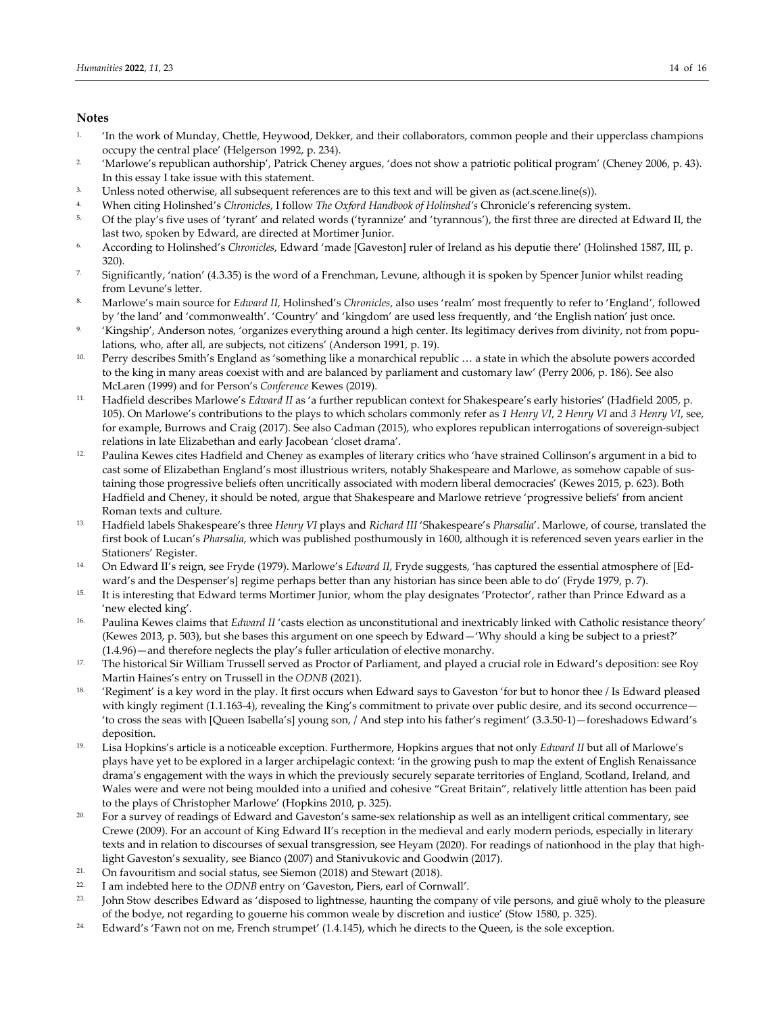## **Notes**

- 1. 'In the work of Munday, Chettle, Heywood, Dekker, and their collaborators, common people and their upperclass champions occupy the central place' (Helgerson 1992, p. 234).
- 2. 'Marlowe's republican authorship', Patrick Cheney argues, 'does not show a patriotic political program' (Cheney 2006, p. 43). In this essay I take issue with this statement.
- 3. Unless noted otherwise, all subsequent references are to this text and will be given as (act.scene.line(s)).
- 4. When citing Holinshed's *Chronicles*, I follow *The Oxford Handbook of Holinshed's* Chronicle's referencing system.
- 5. Of the play's five uses of 'tyrant' and related words ('tyrannize' and 'tyrannous'), the first three are directed at Edward II, the last two, spoken by Edward, are directed at Mortimer Junior.
- 6. According to Holinshed's *Chronicles*, Edward 'made [Gaveston] ruler of Ireland as his deputie there' (Holinshed 1587, III, p. 320).
- <sup>7.</sup> Significantly, 'nation' (4.3.35) is the word of a Frenchman, Levune, although it is spoken by Spencer Junior whilst reading from Levune's letter.
- 8. Marlowe's main source for *Edward II*, Holinshed's *Chronicles*, also uses 'realm' most frequently to refer to 'England', followed by 'the land' and 'commonwealth'. 'Country' and 'kingdom' are used less frequently, and 'the English nation' just once.
- 9. 'Kingship', Anderson notes, 'organizes everything around a high center. Its legitimacy derives from divinity, not from populations, who, after all, are subjects, not citizens' (Anderson 1991, p. 19).
- 10. Perry describes Smith's England as 'something like a monarchical republic … a state in which the absolute powers accorded to the king in many areas coexist with and are balanced by parliament and customary law' (Perry 2006, p. 186). See also McLaren (1999) and for Person's *Conference* Kewes (2019).
- 11. Hadfield describes Marlowe's *Edward II* as 'a further republican context for Shakespeare's early histories' (Hadfield 2005, p. 105). On Marlowe's contributions to the plays to which scholars commonly refer as *1 Henry VI*, *2 Henry VI* and *3 Henry VI*, see, for example, Burrows and Craig (2017). See also Cadman (2015), who explores republican interrogations of sovereign-subject relations in late Elizabethan and early Jacobean 'closet drama'.
- <sup>12.</sup> Paulina Kewes cites Hadfield and Cheney as examples of literary critics who 'have strained Collinson's argument in a bid to cast some of Elizabethan England's most illustrious writers, notably Shakespeare and Marlowe, as somehow capable of sus‐ taining those progressive beliefs often uncritically associated with modern liberal democracies' (Kewes 2015, p. 623). Both Hadfield and Cheney, it should be noted, argue that Shakespeare and Marlowe retrieve 'progressive beliefs' from ancient Roman texts and culture.
- 13. Hadfield labels Shakespeare's three *Henry VI* plays and *Richard III* 'Shakespeare's *Pharsalia*'. Marlowe, of course, translated the first book of Lucan's *Pharsalia*, which was published posthumously in 1600, although it is referenced seven years earlier in the Stationers' Register.
- 14. On Edward II's reign, see Fryde (1979). Marlowe's *Edward II*, Fryde suggests, 'has captured the essential atmosphere of [Ed‐ ward's and the Despenser's] regime perhaps better than any historian has since been able to do' (Fryde 1979, p. 7).
- 15. It is interesting that Edward terms Mortimer Junior, whom the play designates 'Protector', rather than Prince Edward as a 'new elected king'.
- <sup>16.</sup> Paulina Kewes claims that *Edward II* 'casts election as unconstitutional and inextricably linked with Catholic resistance theory' (Kewes 2013, p. 503), but she bases this argument on one speech by Edward—'Why should a king be subject to a priest?' (1.4.96)—and therefore neglects the play's fuller articulation of elective monarchy.
- <sup>17.</sup> The historical Sir William Trussell served as Proctor of Parliament, and played a crucial role in Edward's deposition: see Roy Martin Haines's entry on Trussell in the *ODNB* (2021).
- <sup>18.</sup> 'Regiment' is a key word in the play. It first occurs when Edward says to Gaveston 'for but to honor thee / Is Edward pleased with kingly regiment (1.1.163-4), revealing the King's commitment to private over public desire, and its second occurrence— 'to cross the seas with [Queen Isabella's] young son, / And step into his father's regiment' (3.3.50‐1)—foreshadows Edward's deposition.
- 19. Lisa Hopkins's article is a noticeable exception. Furthermore, Hopkins argues that not only *Edward II* but all of Marlowe's plays have yet to be explored in a larger archipelagic context: 'in the growing push to map the extent of English Renaissance drama's engagement with the ways in which the previously securely separate territories of England, Scotland, Ireland, and Wales were and were not being moulded into a unified and cohesive "Great Britain", relatively little attention has been paid to the plays of Christopher Marlowe' (Hopkins 2010, p. 325).
- <sup>20.</sup> For a survey of readings of Edward and Gaveston's same-sex relationship as well as an intelligent critical commentary, see Crewe (2009). For an account of King Edward II's reception in the medieval and early modern periods, especially in literary texts and in relation to discourses of sexual transgression, see Heyam (2020). For readings of nationhood in the play that highlight Gaveston's sexuality, see Bianco (2007) and Stanivukovic and Goodwin (2017).
- 21. On favouritism and social status, see Siemon (2018) and Stewart (2018).
- <sup>22</sup>. I am indebted here to the *ODNB* entry on 'Gaveston, Piers, earl of Cornwall'.<br><sup>23</sup>. Iohn Stow describes Edward as 'disposed to lightnesse haunting the company
- 23. John Stow describes Edward as 'disposed to lightnesse, haunting the company of vile persons, and giuē wholy to the pleasure of the bodye, not regarding to gouerne his common weale by discretion and iustice' (Stow 1580, p. 325).
- <sup>24.</sup> Edward's 'Fawn not on me, French strumpet' (1.4.145), which he directs to the Queen, is the sole exception.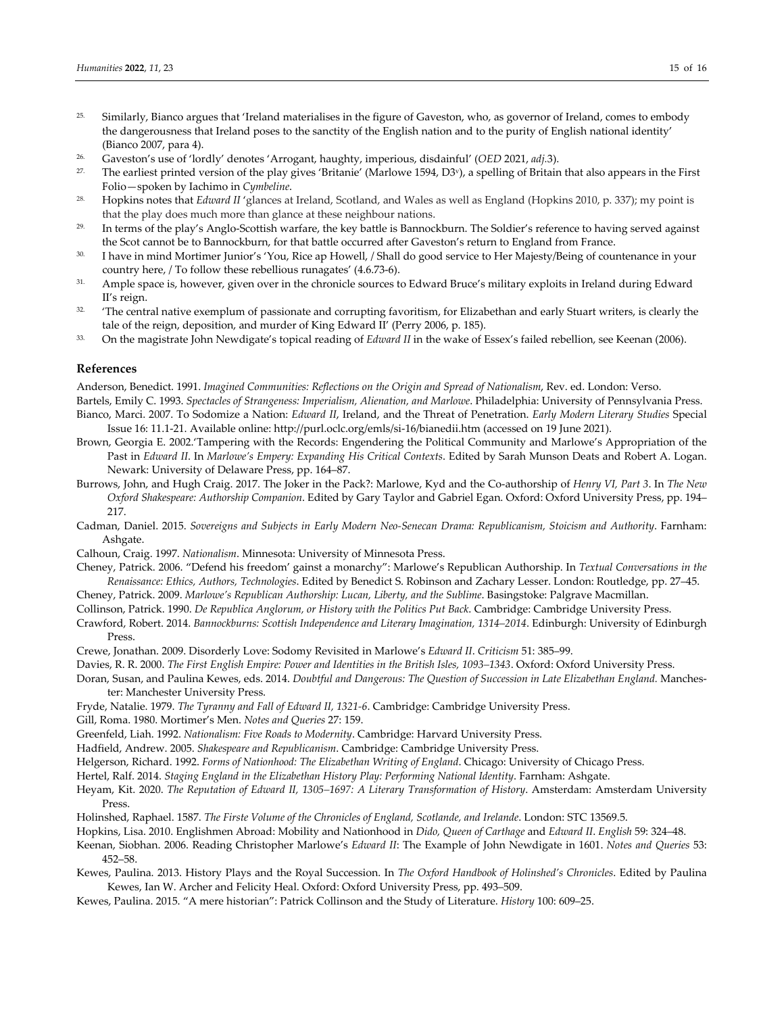- <sup>25.</sup> Similarly, Bianco argues that 'Ireland materialises in the figure of Gaveston, who, as governor of Ireland, comes to embody the dangerousness that Ireland poses to the sanctity of the English nation and to the purity of English national identity' (Bianco 2007, para 4).
- 26. Gaveston's use of 'lordly' denotes 'Arrogant, haughty, imperious, disdainful' (*OED* 2021, *adj.*3).
- 27. The earliest printed version of the play gives 'Britanie' (Marlowe 1594, D3v), a spelling of Britain that also appears in the First Folio—spoken by Iachimo in *Cymbeline*.
- 28. Hopkins notes that *Edward II* 'glances at Ireland, Scotland, and Wales as well as England (Hopkins 2010, p. 337); my point is that the play does much more than glance at these neighbour nations.
- <sup>29.</sup> In terms of the play's Anglo-Scottish warfare, the key battle is Bannockburn. The Soldier's reference to having served against the Scot cannot be to Bannockburn, for that battle occurred after Gaveston's return to England from France.
- 30. I have in mind Mortimer Junior's 'You, Rice ap Howell, / Shall do good service to Her Majesty/Being of countenance in your country here, / To follow these rebellious runagates' (4.6.73‐6).
- <sup>31.</sup> Ample space is, however, given over in the chronicle sources to Edward Bruce's military exploits in Ireland during Edward II's reign.
- <sup>32.</sup> 'The central native exemplum of passionate and corrupting favoritism, for Elizabethan and early Stuart writers, is clearly the tale of the reign, deposition, and murder of King Edward II' (Perry 2006, p. 185).
- 33. On the magistrate John Newdigate's topical reading of *Edward II* in the wake of Essex's failed rebellion, see Keenan (2006).

#### **References**

Anderson, Benedict. 1991. *Imagined Communities: Reflections on the Origin and Spread of Nationalism*, Rev. ed. London: Verso. Bartels, Emily C. 1993. *Spectacles of Strangeness: Imperialism, Alienation, and Marlowe*. Philadelphia: University of Pennsylvania Press. Bianco, Marci. 2007. To Sodomize a Nation: *Edward II*, Ireland, and the Threat of Penetration. *Early Modern Literary Studies* Special

- Issue 16: 11.1‐21. Available online: http://purl.oclc.org/emls/si‐16/bianedii.htm (accessed on 19 June 2021). Brown, Georgia E. 2002.'Tampering with the Records: Engendering the Political Community and Marlowe's Appropriation of the
- Past in *Edward II*. In *Marlowe's Empery: Expanding His Critical Contexts*. Edited by Sarah Munson Deats and Robert A. Logan. Newark: University of Delaware Press, pp. 164–87.
- Burrows, John, and Hugh Craig. 2017. The Joker in the Pack?: Marlowe, Kyd and the Co‐authorship of *Henry VI, Part 3*. In *The New Oxford Shakespeare: Authorship Companion*. Edited by Gary Taylor and Gabriel Egan. Oxford: Oxford University Press, pp. 194– 217.
- Cadman, Daniel. 2015. Sovereigns and Subjects in Early Modern Neo-Senecan Drama: Republicanism, Stoicism and Authority. Farnham: Ashgate.
- Calhoun, Craig. 1997. *Nationalism*. Minnesota: University of Minnesota Press.
- Cheney, Patrick. 2006. "Defend his freedom' gainst a monarchy": Marlowe's Republican Authorship. In *Textual Conversations in the Renaissance: Ethics, Authors, Technologies*. Edited by Benedict S. Robinson and Zachary Lesser. London: Routledge, pp. 27–45.
- Cheney, Patrick. 2009. *Marlowe's Republican Authorship: Lucan, Liberty, and the Sublime*. Basingstoke: Palgrave Macmillan.
- Collinson, Patrick. 1990. *De Republica Anglorum, or History with the Politics Put Back*. Cambridge: Cambridge University Press.
- Crawford, Robert. 2014. *Bannockburns: Scottish Independence and Literary Imagination, 1314–2014*. Edinburgh: University of Edinburgh Press.
- Crewe, Jonathan. 2009. Disorderly Love: Sodomy Revisited in Marlowe's *Edward II*. *Criticism* 51: 385–99.
- Davies, R. R. 2000. *The First English Empire: Power and Identities in the British Isles, 1093–1343*. Oxford: Oxford University Press.
- Doran, Susan, and Paulina Kewes, eds. 2014. *Doubtful and Dangerous: The Question of Succession in Late Elizabethan England.* Manches‐ ter: Manchester University Press.
- Fryde, Natalie. 1979. *The Tyranny and Fall of Edward II, 1321‐6*. Cambridge: Cambridge University Press.
- Gill, Roma. 1980. Mortimer's Men. *Notes and Queries* 27: 159.
- Greenfeld, Liah. 1992. *Nationalism: Five Roads to Modernity*. Cambridge: Harvard University Press.
- Hadfield, Andrew. 2005. *Shakespeare and Republicanism*. Cambridge: Cambridge University Press.
- Helgerson, Richard. 1992. *Forms of Nationhood: The Elizabethan Writing of England*. Chicago: University of Chicago Press.

Hertel, Ralf. 2014. *Staging England in the Elizabethan History Play: Performing National Identity*. Farnham: Ashgate.

- Heyam, Kit. 2020. *The Reputation of Edward II, 1305–1697: A Literary Transformation of History*. Amsterdam: Amsterdam University Press.
- Holinshed, Raphael. 1587. *The Firste Volume of the Chronicles of England, Scotlande, and Irelande*. London: STC 13569.5.
- Hopkins, Lisa. 2010. Englishmen Abroad: Mobility and Nationhood in *Dido, Queen of Carthage* and *Edward II*. *English* 59: 324–48.
- Keenan, Siobhan. 2006. Reading Christopher Marlowe's *Edward II*: The Example of John Newdigate in 1601. *Notes and Queries* 53: 452–58.
- Kewes, Paulina. 2013. History Plays and the Royal Succession. In *The Oxford Handbook of Holinshed's Chronicles*. Edited by Paulina Kewes, Ian W. Archer and Felicity Heal. Oxford: Oxford University Press, pp. 493–509.
- Kewes, Paulina. 2015. "A mere historian": Patrick Collinson and the Study of Literature. *History* 100: 609–25.